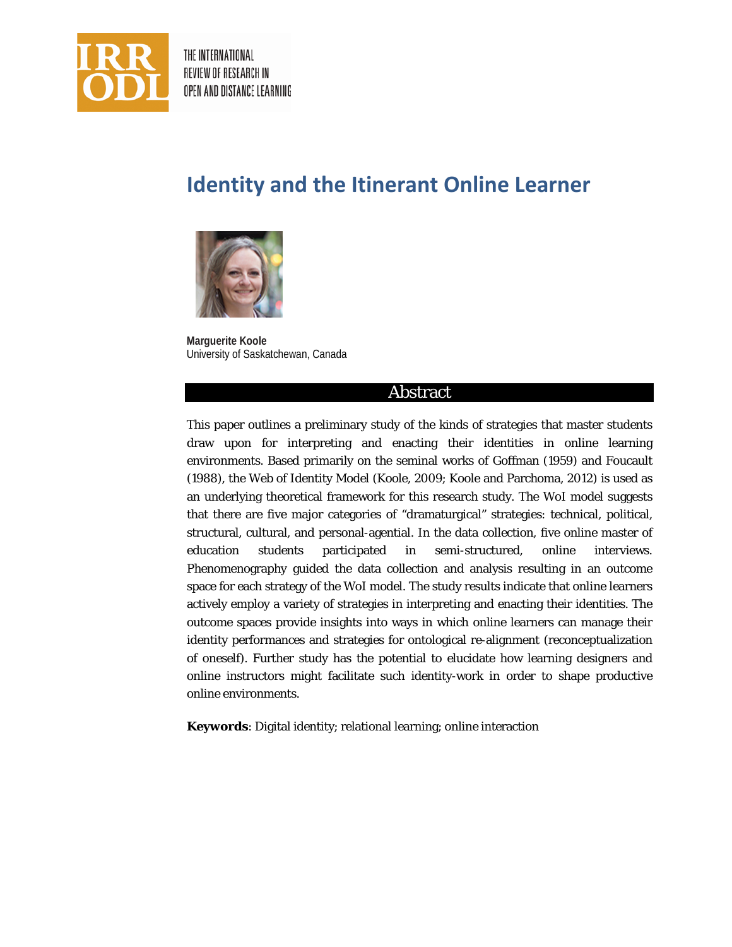

# **Identity and the Itinerant Online Learner**



**Marguerite Koole** University of Saskatchewan, Canada

#### Abstract

This paper outlines a preliminary study of the kinds of strategies that master students draw upon for interpreting and enacting their identities in online learning environments. Based primarily on the seminal works of Goffman (1959) and Foucault (1988), the Web of Identity Model (Koole, 2009; Koole and Parchoma, 2012) is used as an underlying theoretical framework for this research study. The WoI model suggests that there are five major categories of "dramaturgical" strategies: technical, political, structural, cultural, and personal-agential. In the data collection, five online master of education students participated in semi-structured, online interviews. Phenomenography guided the data collection and analysis resulting in an outcome space for each strategy of the WoI model. The study results indicate that online learners actively employ a variety of strategies in interpreting and enacting their identities. The outcome spaces provide insights into ways in which online learners can manage their identity performances and strategies for ontological re-alignment (reconceptualization of oneself). Further study has the potential to elucidate how learning designers and online instructors might facilitate such identity-work in order to shape productive online environments.

**Keywords**: Digital identity; relational learning; online interaction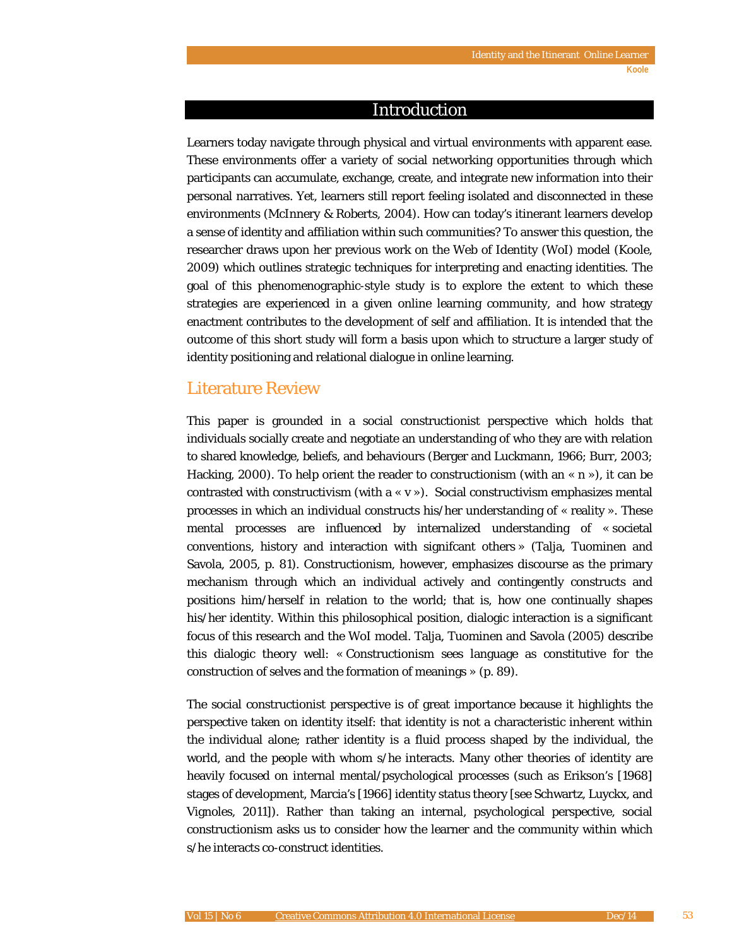#### Introduction

Learners today navigate through physical and virtual environments with apparent ease. These environments offer a variety of social networking opportunities through which participants can accumulate, exchange, create, and integrate new information into their personal narratives. Yet, learners still report feeling isolated and disconnected in these environments (McInnery & Roberts, 2004). How can today's itinerant learners develop a sense of identity and affiliation within such communities? To answer this question, the researcher draws upon her previous work on the Web of Identity (WoI) model (Koole, 2009) which outlines strategic techniques for interpreting and enacting identities. The goal of this phenomenographic-style study is to explore the extent to which these strategies are experienced in a given online learning community, and how strategy enactment contributes to the development of self and affiliation. It is intended that the outcome of this short study will form a basis upon which to structure a larger study of identity positioning and relational dialogue in online learning.

#### Literature Review

This paper is grounded in a social constructionist perspective which holds that individuals socially create and negotiate an understanding of who they are with relation to shared knowledge, beliefs, and behaviours (Berger and Luckmann, 1966; Burr, 2003; Hacking, 2000). To help orient the reader to constructionism (with an  $\alpha$  n  $\alpha$ ), it can be contrasted with constructivism (with a « v »). Social constructivism emphasizes mental processes in which an individual constructs his/her understanding of « reality ». These mental processes are influenced by internalized understanding of « societal conventions, history and interaction with signifcant others » (Talja, Tuominen and Savola, 2005, p. 81). Constructionism, however, emphasizes discourse as the primary mechanism through which an individual actively and contingently constructs and positions him/herself in relation to the world; that is, how one continually shapes his/her identity. Within this philosophical position, dialogic interaction is a significant focus of this research and the WoI model. Talja, Tuominen and Savola (2005) describe this dialogic theory well: « Constructionism sees language as constitutive for the construction of selves and the formation of meanings » (p. 89).

The social constructionist perspective is of great importance because it highlights the perspective taken on identity itself: that identity is not a characteristic inherent within the individual alone; rather identity is a fluid process shaped by the individual, the world, and the people with whom s/he interacts. Many other theories of identity are heavily focused on internal mental/psychological processes (such as Erikson's [1968] stages of development, Marcia's [1966] identity status theory [see Schwartz, Luyckx, and Vignoles, 2011]). Rather than taking an internal, psychological perspective, social constructionism asks us to consider how the learner and the community within which s/he interacts co-construct identities.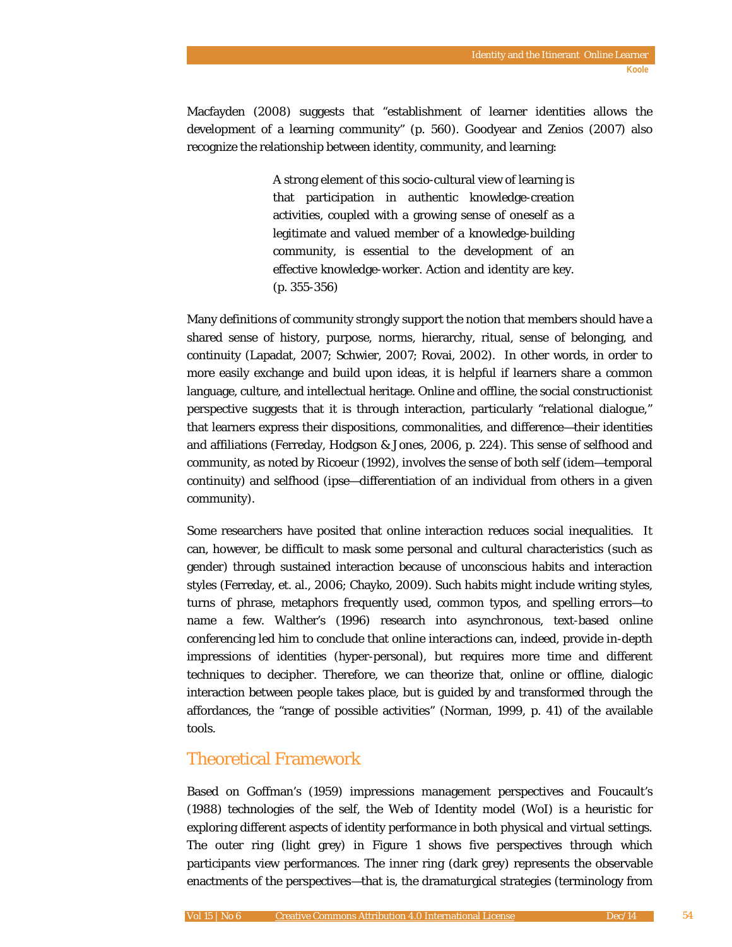Macfayden (2008) suggests that "establishment of learner identities allows the development of a learning community" (p. 560). Goodyear and Zenios (2007) also recognize the relationship between identity, community, and learning:

> A strong element of this socio-cultural view of learning is that participation in authentic knowledge-creation activities, coupled with a growing sense of oneself as a legitimate and valued member of a knowledge-building community, is essential to the development of an effective knowledge-worker. Action and identity are key. (p. 355-356)

Many definitions of community strongly support the notion that members should have a shared sense of history, purpose, norms, hierarchy, ritual, sense of belonging, and continuity (Lapadat, 2007; Schwier, 2007; Rovai, 2002). In other words, in order to more easily exchange and build upon ideas, it is helpful if learners share a common language, culture, and intellectual heritage. Online and offline, the social constructionist perspective suggests that it is through interaction, particularly "relational dialogue," that learners express their dispositions, commonalities, and difference—their identities and affiliations (Ferreday, Hodgson & Jones, 2006, p. 224). This sense of selfhood and community, as noted by Ricoeur (1992), involves the sense of both self (idem—temporal continuity) and selfhood (ipse—differentiation of an individual from others in a given community).

Some researchers have posited that online interaction reduces social inequalities. It can, however, be difficult to mask some personal and cultural characteristics (such as gender) through sustained interaction because of unconscious habits and interaction styles (Ferreday, et. al., 2006; Chayko, 2009). Such habits might include writing styles, turns of phrase, metaphors frequently used, common typos, and spelling errors—to name a few. Walther's (1996) research into asynchronous, text-based online conferencing led him to conclude that online interactions can, indeed, provide in-depth impressions of identities (hyper-personal), but requires more time and different techniques to decipher. Therefore, we can theorize that, online or offline, dialogic interaction between people takes place, but is guided by and transformed through the affordances, the "range of possible activities" (Norman, 1999, p. 41) of the available tools.

### Theoretical Framework

Based on Goffman's (1959) impressions management perspectives and Foucault's (1988) technologies of the self, the Web of Identity model (WoI) is a heuristic for exploring different aspects of identity performance in both physical and virtual settings. The outer ring (light grey) in Figure 1 shows five perspectives through which participants view performances. The inner ring (dark grey) represents the observable enactments of the perspectives—that is, the dramaturgical strategies (terminology from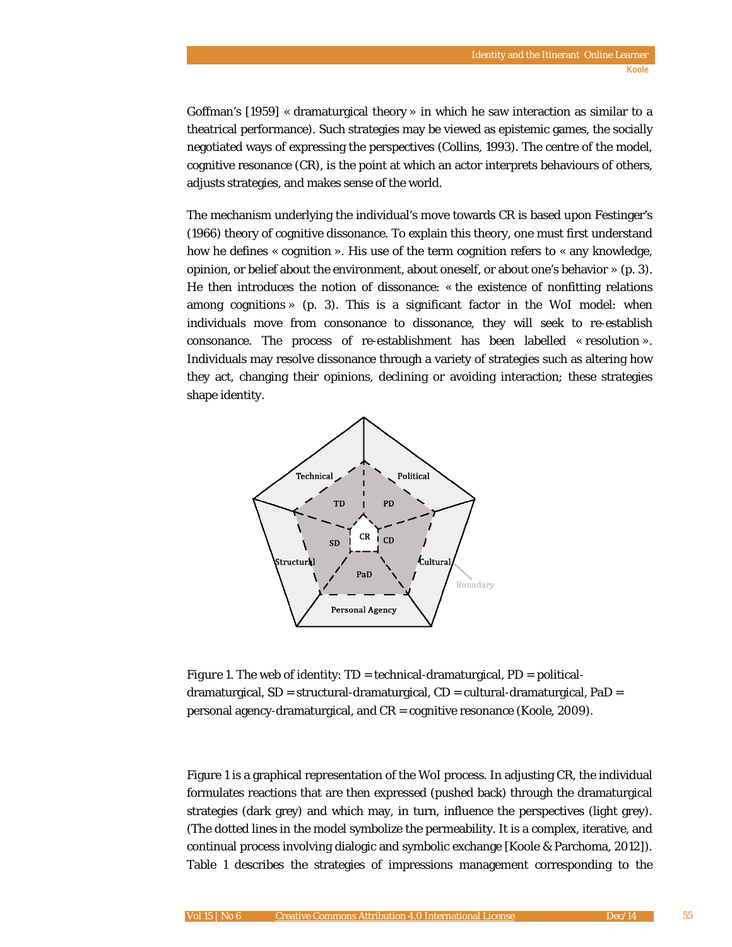Goffman's [1959] « dramaturgical theory » in which he saw interaction as similar to a theatrical performance). Such strategies may be viewed as epistemic games, the socially negotiated ways of expressing the perspectives (Collins, 1993). The centre of the model, cognitive resonance (CR), is the point at which an actor interprets behaviours of others, adjusts strategies, and makes sense of the world.

The mechanism underlying the individual's move towards CR is based upon Festinger's (1966) theory of cognitive dissonance. To explain this theory, one must first understand how he defines « cognition ». His use of the term cognition refers to « any knowledge, opinion, or belief about the environment, about oneself, or about one's behavior » (p. 3). He then introduces the notion of dissonance: « the existence of nonfitting relations among cognitions » (p. 3). This is a significant factor in the WoI model: when individuals move from consonance to dissonance, they will seek to re-establish consonance. The process of re-establishment has been labelled « resolution ». Individuals may resolve dissonance through a variety of strategies such as altering how they act, changing their opinions, declining or avoiding interaction; these strategies shape identity.



*Figure 1*. The web of identity: TD = technical-dramaturgical, PD = politicaldramaturgical,  $SD = structural-dramaturgical, CD = cultural-dramaturgical, PaD =$ personal agency-dramaturgical, and CR = cognitive resonance (Koole, 2009).

Figure 1 is a graphical representation of the WoI process. In adjusting CR, the individual formulates reactions that are then expressed (pushed back) through the dramaturgical strategies (dark grey) and which may, in turn, influence the perspectives (light grey). (The dotted lines in the model symbolize the permeability. It is a complex, iterative, and continual process involving dialogic and symbolic exchange [Koole & Parchoma, 2012]). Table 1 describes the strategies of impressions management corresponding to the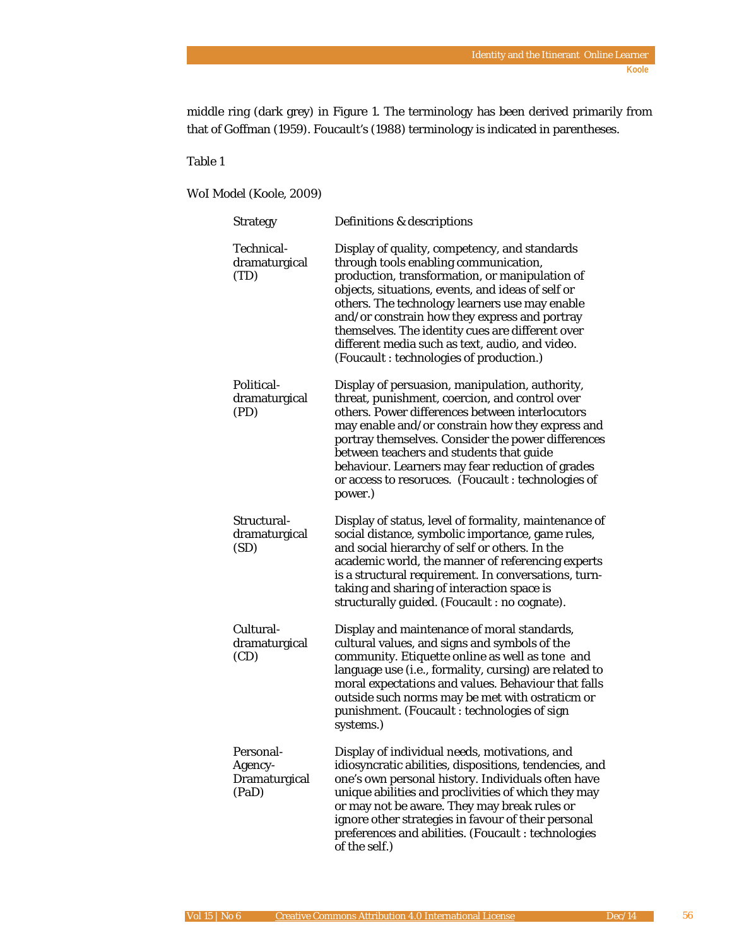middle ring (dark grey) in Figure 1. The terminology has been derived primarily from that of Goffman (1959). Foucault's (1988) terminology is indicated in parentheses.

Table 1

*WoI Model (Koole, 2009)*

| <b>Strategy</b>                                | Definitions & descriptions                                                                                                                                                                                                                                                                                                                                                                                                                         |
|------------------------------------------------|----------------------------------------------------------------------------------------------------------------------------------------------------------------------------------------------------------------------------------------------------------------------------------------------------------------------------------------------------------------------------------------------------------------------------------------------------|
| Technical-<br>dramaturgical<br>(TD)            | Display of quality, competency, and standards<br>through tools enabling communication,<br>production, transformation, or manipulation of<br>objects, situations, events, and ideas of self or<br>others. The technology learners use may enable<br>and/or constrain how they express and portray<br>themselves. The identity cues are different over<br>different media such as text, audio, and video.<br>(Foucault: technologies of production.) |
| Political-<br>dramaturgical<br>(PD)            | Display of persuasion, manipulation, authority,<br>threat, punishment, coercion, and control over<br>others. Power differences between interlocutors<br>may enable and/or constrain how they express and<br>portray themselves. Consider the power differences<br>between teachers and students that guide<br>behaviour. Learners may fear reduction of grades<br>or access to resoruces. (Foucault : technologies of<br>power.)                   |
| Structural-<br>dramaturgical<br>(SD)           | Display of status, level of formality, maintenance of<br>social distance, symbolic importance, game rules,<br>and social hierarchy of self or others. In the<br>academic world, the manner of referencing experts<br>is a structural requirement. In conversations, turn-<br>taking and sharing of interaction space is<br>structurally guided. (Foucault : no cognate).                                                                           |
| Cultural-<br>dramaturgical<br>(CD)             | Display and maintenance of moral standards,<br>cultural values, and signs and symbols of the<br>community. Etiquette online as well as tone and<br>language use (i.e., formality, cursing) are related to<br>moral expectations and values. Behaviour that falls<br>outside such norms may be met with ostraticm or<br>punishment. (Foucault: technologies of sign<br>systems.)                                                                    |
| Personal-<br>Agency-<br>Dramaturgical<br>(PaD) | Display of individual needs, motivations, and<br>idiosyncratic abilities, dispositions, tendencies, and<br>one's own personal history. Individuals often have<br>unique abilities and proclivities of which they may<br>or may not be aware. They may break rules or<br>ignore other strategies in favour of their personal<br>preferences and abilities. (Foucault : technologies<br>of the self.)                                                |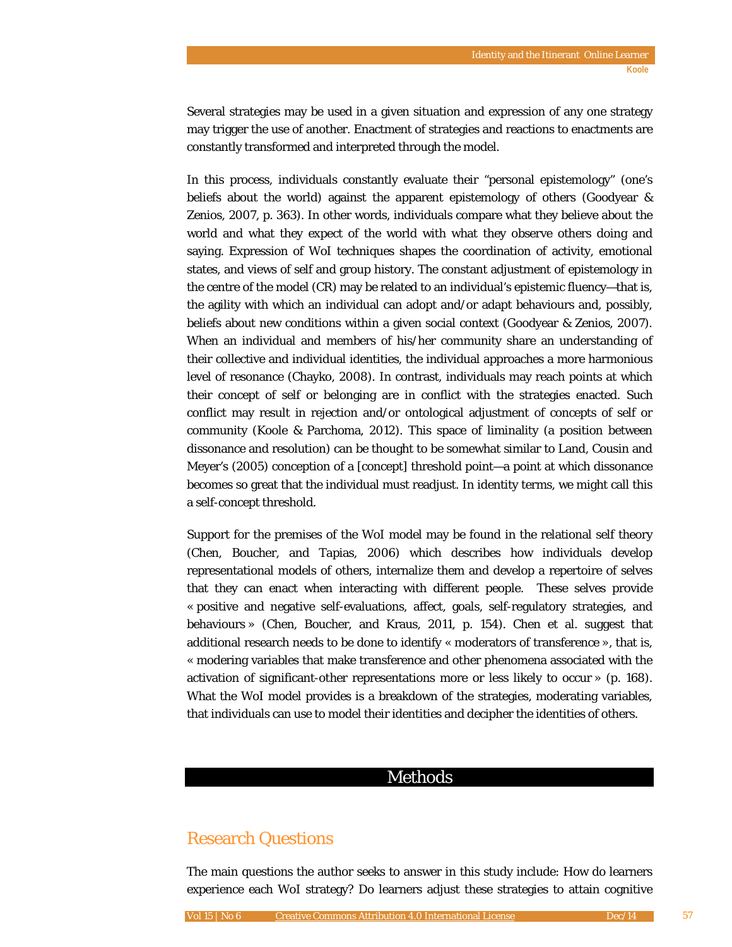Several strategies may be used in a given situation and expression of any one strategy may trigger the use of another. Enactment of strategies and reactions to enactments are constantly transformed and interpreted through the model.

In this process, individuals constantly evaluate their "personal epistemology" (one's beliefs about the world) against the apparent epistemology of others (Goodyear & Zenios, 2007, p. 363). In other words, individuals compare what they believe about the world and what they expect of the world with what they observe others doing and saying. Expression of WoI techniques shapes the coordination of activity, emotional states, and views of self and group history. The constant adjustment of epistemology in the centre of the model (CR) may be related to an individual's epistemic fluency—that is, the agility with which an individual can adopt and/or adapt behaviours and, possibly, beliefs about new conditions within a given social context (Goodyear & Zenios, 2007). When an individual and members of his/her community share an understanding of their collective and individual identities, the individual approaches a more harmonious level of resonance (Chayko, 2008). In contrast, individuals may reach points at which their concept of self or belonging are in conflict with the strategies enacted. Such conflict may result in rejection and/or ontological adjustment of concepts of self or community (Koole & Parchoma, 2012). This space of liminality (a position between dissonance and resolution) can be thought to be somewhat similar to Land, Cousin and Meyer's (2005) conception of a [concept] threshold point—a point at which dissonance becomes so great that the individual must readjust. In identity terms, we might call this a self-concept threshold.

Support for the premises of the WoI model may be found in the relational self theory (Chen, Boucher, and Tapias, 2006) which describes how individuals develop representational models of others, internalize them and develop a repertoire of selves that they can enact when interacting with different people. These selves provide « positive and negative self-evaluations, affect, goals, self-regulatory strategies, and behaviours » (Chen, Boucher, and Kraus, 2011, p. 154). Chen et al. suggest that additional research needs to be done to identify « moderators of transference », that is, « modering variables that make transference and other phenomena associated with the activation of significant-other representations more or less likely to occur » (p. 168). What the WoI model provides is a breakdown of the strategies, moderating variables, that individuals can use to model their identities and decipher the identities of others.

### Methods

### Research Questions

The main questions the author seeks to answer in this study include: How do learners experience each WoI strategy? Do learners adjust these strategies to attain cognitive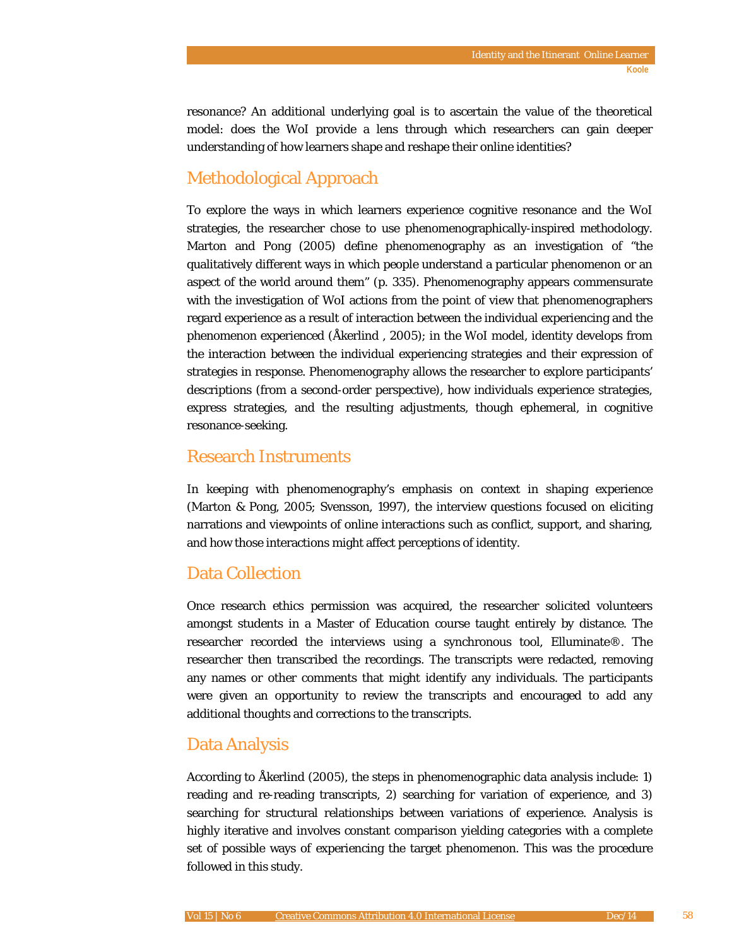resonance? An additional underlying goal is to ascertain the value of the theoretical model: does the WoI provide a lens through which researchers can gain deeper understanding of how learners shape and reshape their online identities?

### Methodological Approach

To explore the ways in which learners experience cognitive resonance and the WoI strategies, the researcher chose to use phenomenographically-inspired methodology. Marton and Pong (2005) define phenomenography as an investigation of "the qualitatively different ways in which people understand a particular phenomenon or an aspect of the world around them" (p. 335). Phenomenography appears commensurate with the investigation of WoI actions from the point of view that phenomenographers regard experience as a result of interaction between the individual experiencing and the phenomenon experienced (Åkerlind , 2005); in the WoI model, identity develops from the interaction between the individual experiencing strategies and their expression of strategies in response. Phenomenography allows the researcher to explore participants' descriptions (from a second-order perspective), how individuals experience strategies, express strategies, and the resulting adjustments, though ephemeral, in cognitive resonance-seeking.

### Research Instruments

In keeping with phenomenography's emphasis on context in shaping experience (Marton & Pong, 2005; Svensson, 1997), the interview questions focused on eliciting narrations and viewpoints of online interactions such as conflict, support, and sharing, and how those interactions might affect perceptions of identity.

### Data Collection

Once research ethics permission was acquired, the researcher solicited volunteers amongst students in a Master of Education course taught entirely by distance. The researcher recorded the interviews using a synchronous tool, Elluminate®. The researcher then transcribed the recordings. The transcripts were redacted, removing any names or other comments that might identify any individuals. The participants were given an opportunity to review the transcripts and encouraged to add any additional thoughts and corrections to the transcripts.

# Data Analysis

According to Åkerlind (2005), the steps in phenomenographic data analysis include: 1) reading and re-reading transcripts, 2) searching for variation of experience, and 3) searching for structural relationships between variations of experience. Analysis is highly iterative and involves constant comparison yielding categories with a complete set of possible ways of experiencing the target phenomenon. This was the procedure followed in this study.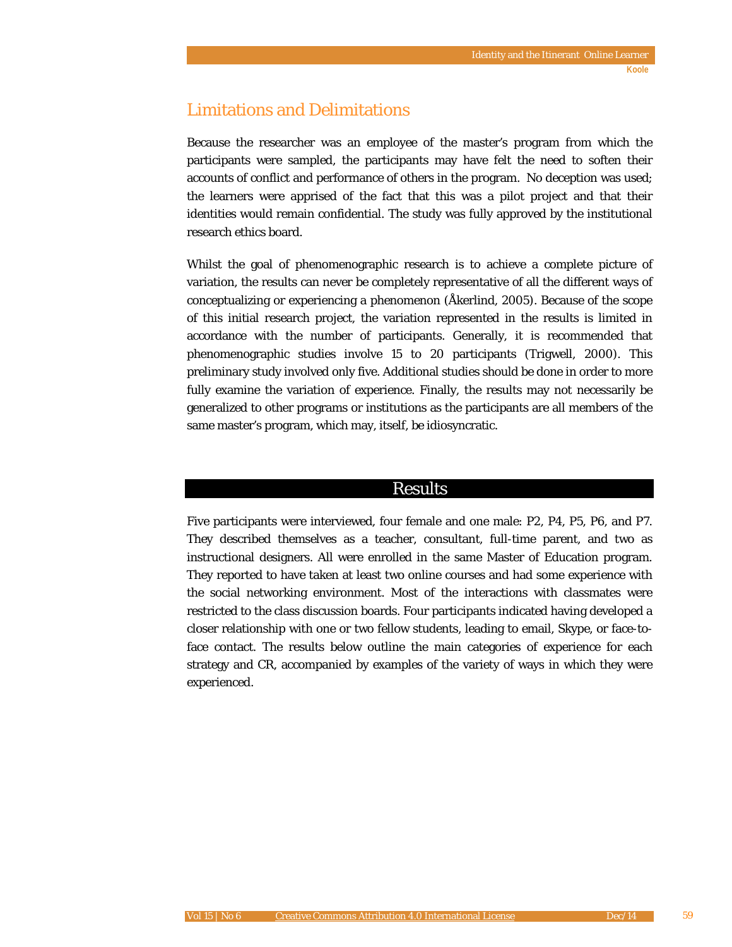# Limitations and Delimitations

Because the researcher was an employee of the master's program from which the participants were sampled, the participants may have felt the need to soften their accounts of conflict and performance of others in the program. No deception was used; the learners were apprised of the fact that this was a pilot project and that their identities would remain confidential. The study was fully approved by the institutional research ethics board.

Whilst the goal of phenomenographic research is to achieve a complete picture of variation, the results can never be completely representative of all the different ways of conceptualizing or experiencing a phenomenon (Åkerlind, 2005). Because of the scope of this initial research project, the variation represented in the results is limited in accordance with the number of participants. Generally, it is recommended that phenomenographic studies involve 15 to 20 participants (Trigwell, 2000). This preliminary study involved only five. Additional studies should be done in order to more fully examine the variation of experience. Finally, the results may not necessarily be generalized to other programs or institutions as the participants are all members of the same master's program, which may, itself, be idiosyncratic.

#### Results

Five participants were interviewed, four female and one male: P2, P4, P5, P6, and P7. They described themselves as a teacher, consultant, full-time parent, and two as instructional designers. All were enrolled in the same Master of Education program. They reported to have taken at least two online courses and had some experience with the social networking environment. Most of the interactions with classmates were restricted to the class discussion boards. Four participants indicated having developed a closer relationship with one or two fellow students, leading to email, Skype, or face-toface contact. The results below outline the main categories of experience for each strategy and CR, accompanied by examples of the variety of ways in which they were experienced.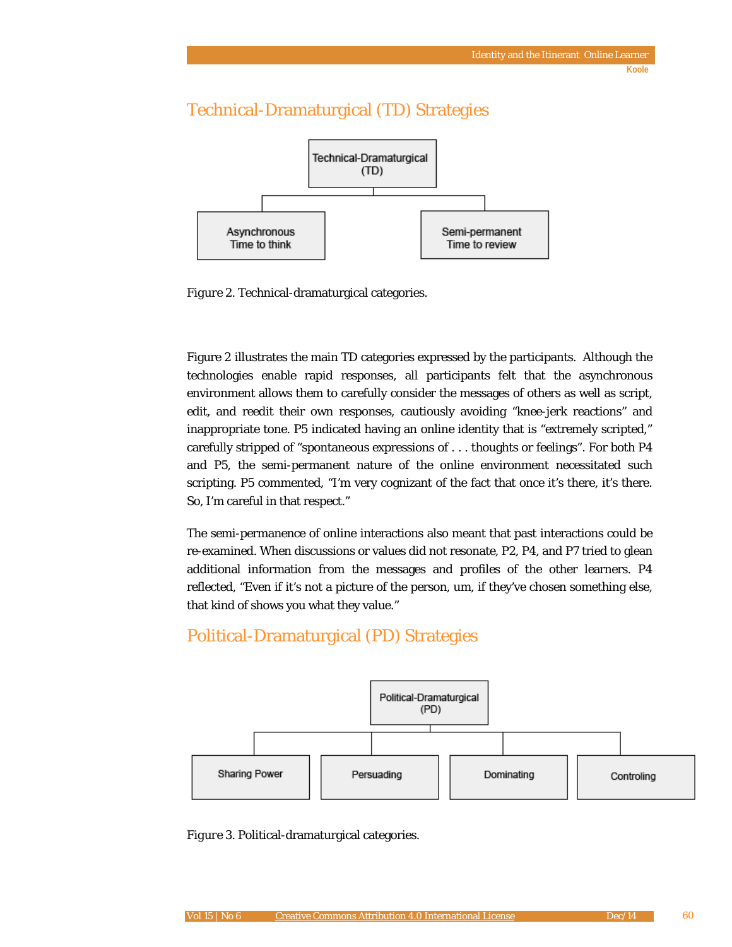# Technical-Dramaturgical (TD) Strategies



*Figure 2*. Technical-dramaturgical categories.

Figure 2 illustrates the main TD categories expressed by the participants. Although the technologies enable rapid responses, all participants felt that the asynchronous environment allows them to carefully consider the messages of others as well as script, edit, and reedit their own responses, cautiously avoiding "knee-jerk reactions" and inappropriate tone. P5 indicated having an online identity that is "extremely scripted," carefully stripped of "spontaneous expressions of . . . thoughts or feelings". For both P4 and P5, the semi-permanent nature of the online environment necessitated such scripting. P5 commented, "I'm very cognizant of the fact that once it's there, it's there. So, I'm careful in that respect."

The semi-permanence of online interactions also meant that past interactions could be re-examined. When discussions or values did not resonate, P2, P4, and P7 tried to glean additional information from the messages and profiles of the other learners. P4 reflected, "Even if it's not a picture of the person, um, if they've chosen something else, that kind of shows you what they value."

# Political-Dramaturgical (PD) Strategies



*Figure 3*. Political-dramaturgical categories.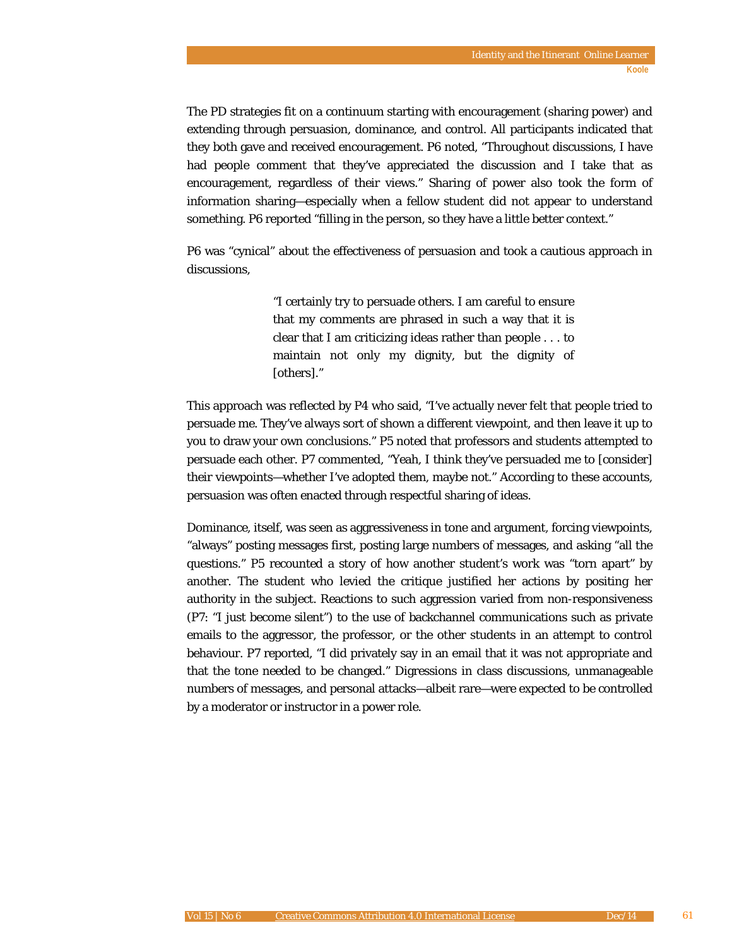The PD strategies fit on a continuum starting with encouragement (sharing power) and extending through persuasion, dominance, and control. All participants indicated that they both gave and received encouragement. P6 noted, "Throughout discussions, I have had people comment that they've appreciated the discussion and I take that as encouragement, regardless of their views." Sharing of power also took the form of information sharing—especially when a fellow student did not appear to understand something. P6 reported "filling in the person, so they have a little better context."

P6 was "cynical" about the effectiveness of persuasion and took a cautious approach in discussions,

> "I certainly try to persuade others. I am careful to ensure that my comments are phrased in such a way that it is clear that I am criticizing ideas rather than people . . . to maintain not only my dignity, but the dignity of [others]."

This approach was reflected by P4 who said, "I've actually never felt that people tried to persuade me. They've always sort of shown a different viewpoint, and then leave it up to you to draw your own conclusions." P5 noted that professors and students attempted to persuade each other. P7 commented, "Yeah, I think they've persuaded me to [consider] their viewpoints—whether I've adopted them, maybe not." According to these accounts, persuasion was often enacted through respectful sharing of ideas.

Dominance, itself, was seen as aggressiveness in tone and argument, forcing viewpoints, "always" posting messages first, posting large numbers of messages, and asking "all the questions." P5 recounted a story of how another student's work was "torn apart" by another. The student who levied the critique justified her actions by positing her authority in the subject. Reactions to such aggression varied from non-responsiveness (P7: "I just become silent") to the use of backchannel communications such as private emails to the aggressor, the professor, or the other students in an attempt to control behaviour. P7 reported, "I did privately say in an email that it was not appropriate and that the tone needed to be changed." Digressions in class discussions, unmanageable numbers of messages, and personal attacks—albeit rare—were expected to be controlled by a moderator or instructor in a power role.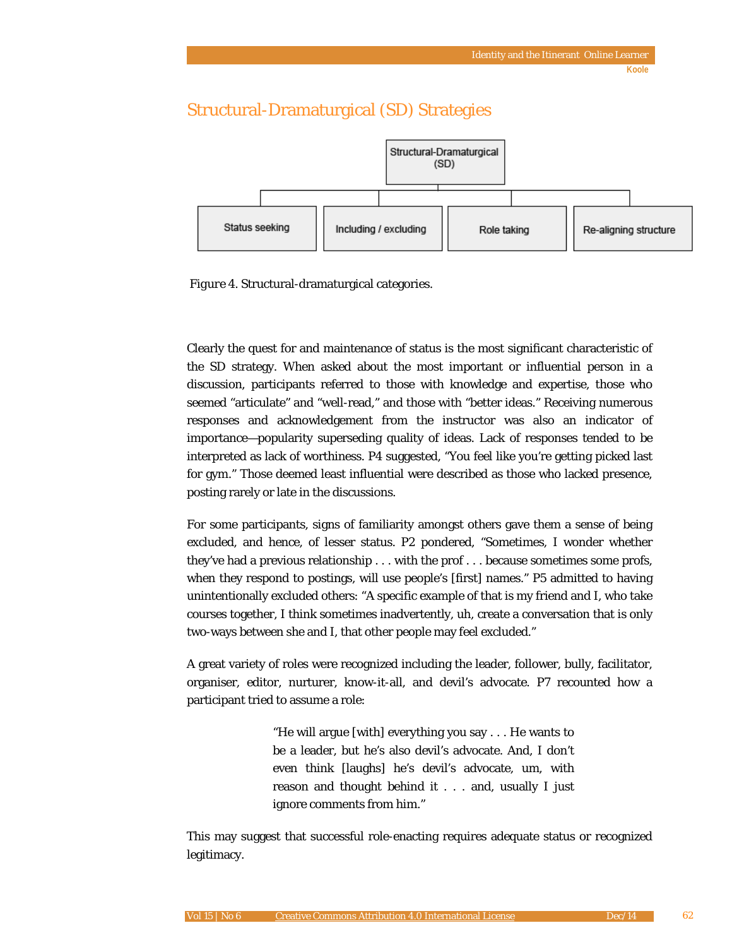# Structural-Dramaturgical  $(SD)$ Status seeking Including / excluding Role taking Re-aligning structure

# Structural-Dramaturgical (SD) Strategies

*Figure 4*. Structural-dramaturgical categories.

Clearly the quest for and maintenance of status is the most significant characteristic of the SD strategy. When asked about the most important or influential person in a discussion, participants referred to those with knowledge and expertise, those who seemed "articulate" and "well-read," and those with "better ideas." Receiving numerous responses and acknowledgement from the instructor was also an indicator of importance—popularity superseding quality of ideas. Lack of responses tended to be interpreted as lack of worthiness. P4 suggested, "You feel like you're getting picked last for gym." Those deemed least influential were described as those who lacked presence, posting rarely or late in the discussions.

For some participants, signs of familiarity amongst others gave them a sense of being excluded, and hence, of lesser status. P2 pondered, "Sometimes, I wonder whether they've had a previous relationship  $\ldots$  with the prof  $\ldots$  because sometimes some profs, when they respond to postings, will use people's [first] names." P5 admitted to having unintentionally excluded others: "A specific example of that is my friend and I, who take courses together, I think sometimes inadvertently, uh, create a conversation that is only two-ways between she and I, that other people may feel excluded."

A great variety of roles were recognized including the leader, follower, bully, facilitator, organiser, editor, nurturer, know-it-all, and devil's advocate. P7 recounted how a participant tried to assume a role:

> "He will argue [with] everything you say . . . He wants to be a leader, but he's also devil's advocate. And, I don't even think [laughs] he's devil's advocate, um, with reason and thought behind it . . . and, usually I just ignore comments from him."

This may suggest that successful role-enacting requires adequate status or recognized legitimacy.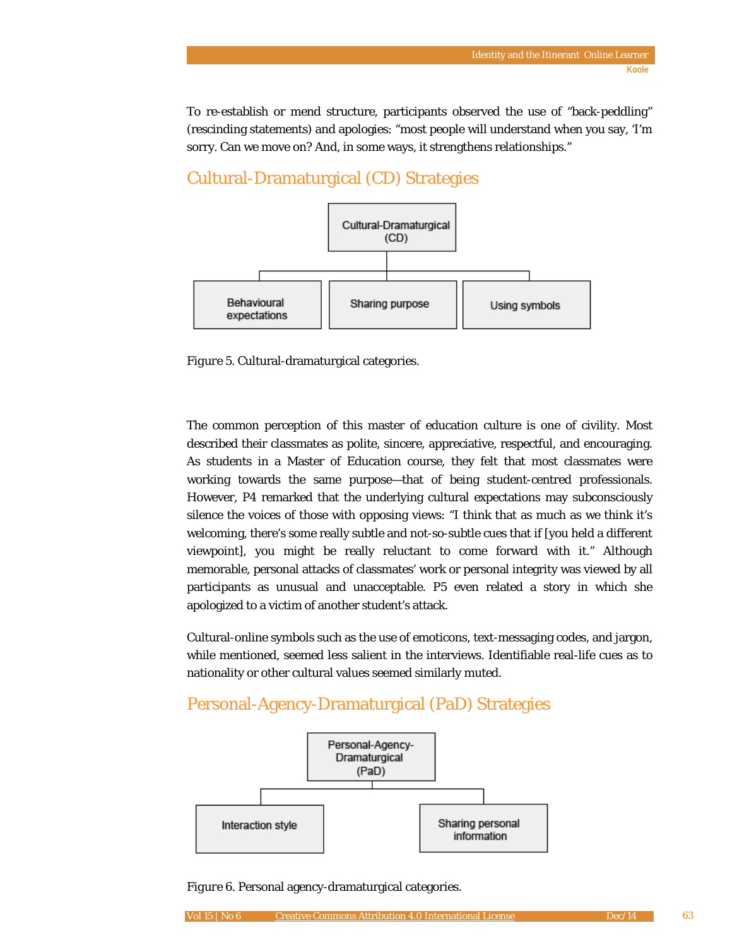To re-establish or mend structure, participants observed the use of "back-peddling" (rescinding statements) and apologies: "most people will understand when you say, 'I'm sorry. Can we move on? And, in some ways, it strengthens relationships."

# Cultural-Dramaturgical (CD) Strategies



*Figure 5*. Cultural-dramaturgical categories.

The common perception of this master of education culture is one of civility. Most described their classmates as polite, sincere, appreciative, respectful, and encouraging. As students in a Master of Education course, they felt that most classmates were working towards the same purpose—that of being student-centred professionals. However, P4 remarked that the underlying cultural expectations may subconsciously silence the voices of those with opposing views: "I think that as much as we think it's welcoming, there's some really subtle and not-so-subtle cues that if [you held a different viewpoint], you might be really reluctant to come forward with it." Although memorable, personal attacks of classmates' work or personal integrity was viewed by all participants as unusual and unacceptable. P5 even related a story in which she apologized to a victim of another student's attack.

Cultural-online symbols such as the use of emoticons, text-messaging codes, and jargon, while mentioned, seemed less salient in the interviews. Identifiable real-life cues as to nationality or other cultural values seemed similarly muted.

# Personal-Agency-Dramaturgical (PaD) Strategies



*Figure 6*. Personal agency-dramaturgical categories.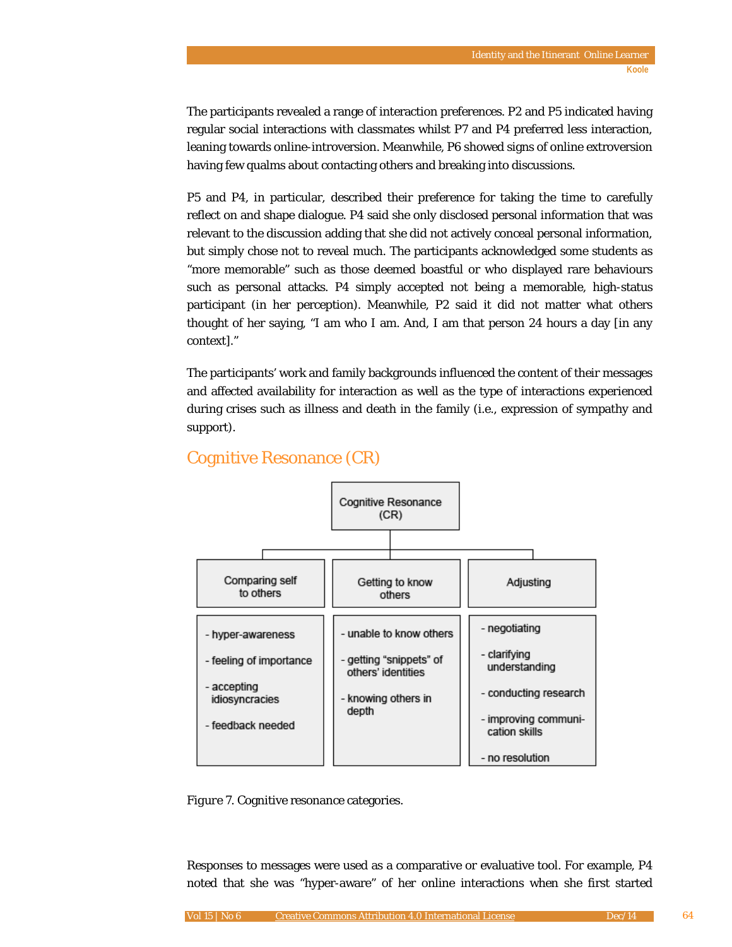The participants revealed a range of interaction preferences. P2 and P5 indicated having regular social interactions with classmates whilst P7 and P4 preferred less interaction, leaning towards online-introversion. Meanwhile, P6 showed signs of online extroversion having few qualms about contacting others and breaking into discussions.

P5 and P4, in particular, described their preference for taking the time to carefully reflect on and shape dialogue. P4 said she only disclosed personal information that was relevant to the discussion adding that she did not actively conceal personal information, but simply chose not to reveal much. The participants acknowledged some students as "more memorable" such as those deemed boastful or who displayed rare behaviours such as personal attacks. P4 simply accepted not being a memorable, high-status participant (in her perception). Meanwhile, P2 said it did not matter what others thought of her saying, "I am who I am. And, I am that person 24 hours a day [in any context]."

The participants' work and family backgrounds influenced the content of their messages and affected availability for interaction as well as the type of interactions experienced during crises such as illness and death in the family (i.e., expression of sympathy and support).



### Cognitive Resonance (CR)

*Figure 7*. Cognitive resonance categories.

Responses to messages were used as a comparative or evaluative tool. For example, P4 noted that she was "hyper-aware" of her online interactions when she first started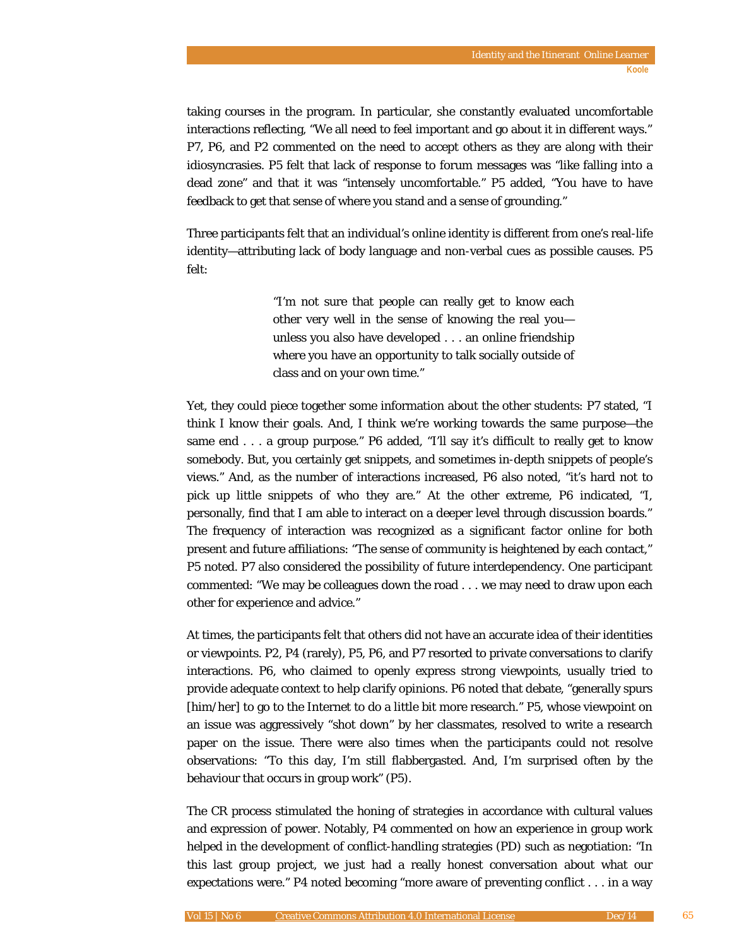taking courses in the program. In particular, she constantly evaluated uncomfortable interactions reflecting, "We all need to feel important and go about it in different ways." P7, P6, and P2 commented on the need to accept others as they are along with their idiosyncrasies. P5 felt that lack of response to forum messages was "like falling into a dead zone" and that it was "intensely uncomfortable." P5 added, "You have to have feedback to get that sense of where you stand and a sense of grounding."

Three participants felt that an individual's online identity is different from one's real-life identity—attributing lack of body language and non-verbal cues as possible causes. P5 felt:

> "I'm not sure that people can really get to know each other very well in the sense of knowing the real you unless you also have developed . . . an online friendship where you have an opportunity to talk socially outside of class and on your own time."

Yet, they could piece together some information about the other students: P7 stated, "I think I know their goals. And, I think we're working towards the same purpose—the same end . . . a group purpose." P6 added, "I'll say it's difficult to really get to know somebody. But, you certainly get snippets, and sometimes in-depth snippets of people's views." And, as the number of interactions increased, P6 also noted, "it's hard not to pick up little snippets of who they are." At the other extreme, P6 indicated, "I, personally, find that I am able to interact on a deeper level through discussion boards." The frequency of interaction was recognized as a significant factor online for both present and future affiliations: "The sense of community is heightened by each contact," P5 noted. P7 also considered the possibility of future interdependency. One participant commented: "We may be colleagues down the road . . . we may need to draw upon each other for experience and advice."

At times, the participants felt that others did not have an accurate idea of their identities or viewpoints. P2, P4 (rarely), P5, P6, and P7 resorted to private conversations to clarify interactions. P6, who claimed to openly express strong viewpoints, usually tried to provide adequate context to help clarify opinions. P6 noted that debate, "generally spurs [him/her] to go to the Internet to do a little bit more research." P5, whose viewpoint on an issue was aggressively "shot down" by her classmates, resolved to write a research paper on the issue. There were also times when the participants could not resolve observations: "To this day, I'm still flabbergasted. And, I'm surprised often by the behaviour that occurs in group work" (P5).

The CR process stimulated the honing of strategies in accordance with cultural values and expression of power. Notably, P4 commented on how an experience in group work helped in the development of conflict-handling strategies (PD) such as negotiation: "In this last group project, we just had a really honest conversation about what our expectations were." P4 noted becoming "more aware of preventing conflict . . . in a way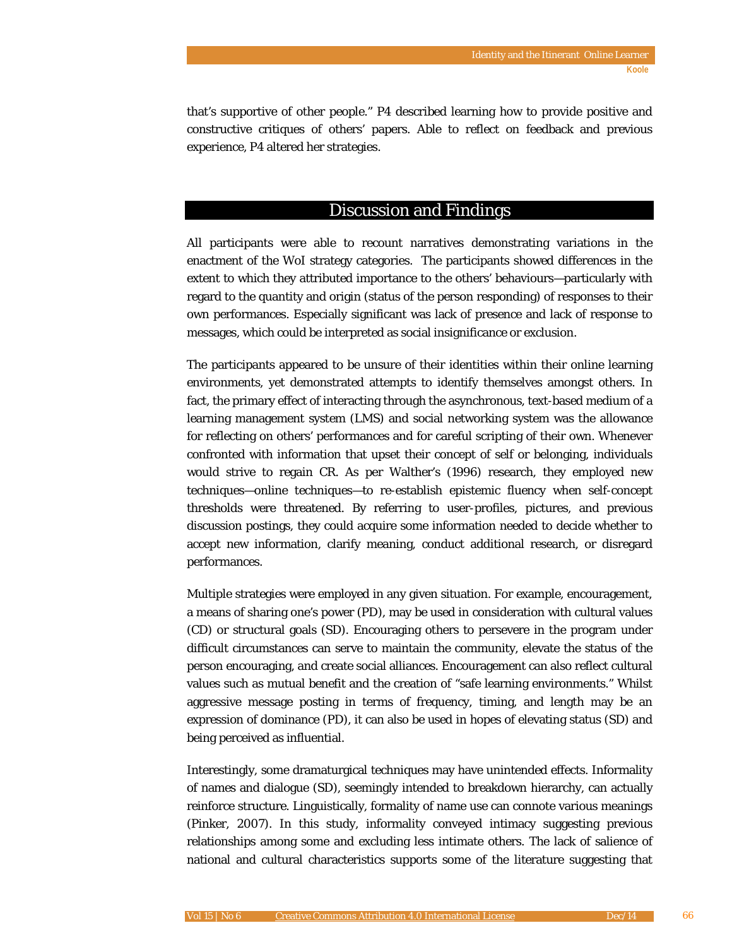that's supportive of other people." P4 described learning how to provide positive and constructive critiques of others' papers. Able to reflect on feedback and previous experience, P4 altered her strategies.

#### Discussion and Findings

All participants were able to recount narratives demonstrating variations in the enactment of the WoI strategy categories. The participants showed differences in the extent to which they attributed importance to the others' behaviours—particularly with regard to the quantity and origin (status of the person responding) of responses to their own performances. Especially significant was lack of presence and lack of response to messages, which could be interpreted as social insignificance or exclusion.

The participants appeared to be unsure of their identities within their online learning environments, yet demonstrated attempts to identify themselves amongst others. In fact, the primary effect of interacting through the asynchronous, text-based medium of a learning management system (LMS) and social networking system was the allowance for reflecting on others' performances and for careful scripting of their own. Whenever confronted with information that upset their concept of self or belonging, individuals would strive to regain CR. As per Walther's (1996) research, they employed new techniques—online techniques—to re-establish epistemic fluency when self-concept thresholds were threatened. By referring to user-profiles, pictures, and previous discussion postings, they could acquire some information needed to decide whether to accept new information, clarify meaning, conduct additional research, or disregard performances.

Multiple strategies were employed in any given situation. For example, encouragement, a means of sharing one's power (PD), may be used in consideration with cultural values (CD) or structural goals (SD). Encouraging others to persevere in the program under difficult circumstances can serve to maintain the community, elevate the status of the person encouraging, and create social alliances. Encouragement can also reflect cultural values such as mutual benefit and the creation of "safe learning environments." Whilst aggressive message posting in terms of frequency, timing, and length may be an expression of dominance (PD), it can also be used in hopes of elevating status (SD) and being perceived as influential.

Interestingly, some dramaturgical techniques may have unintended effects. Informality of names and dialogue (SD), seemingly intended to breakdown hierarchy, can actually reinforce structure. Linguistically, formality of name use can connote various meanings (Pinker, 2007). In this study, informality conveyed intimacy suggesting previous relationships among some and excluding less intimate others. The lack of salience of national and cultural characteristics supports some of the literature suggesting that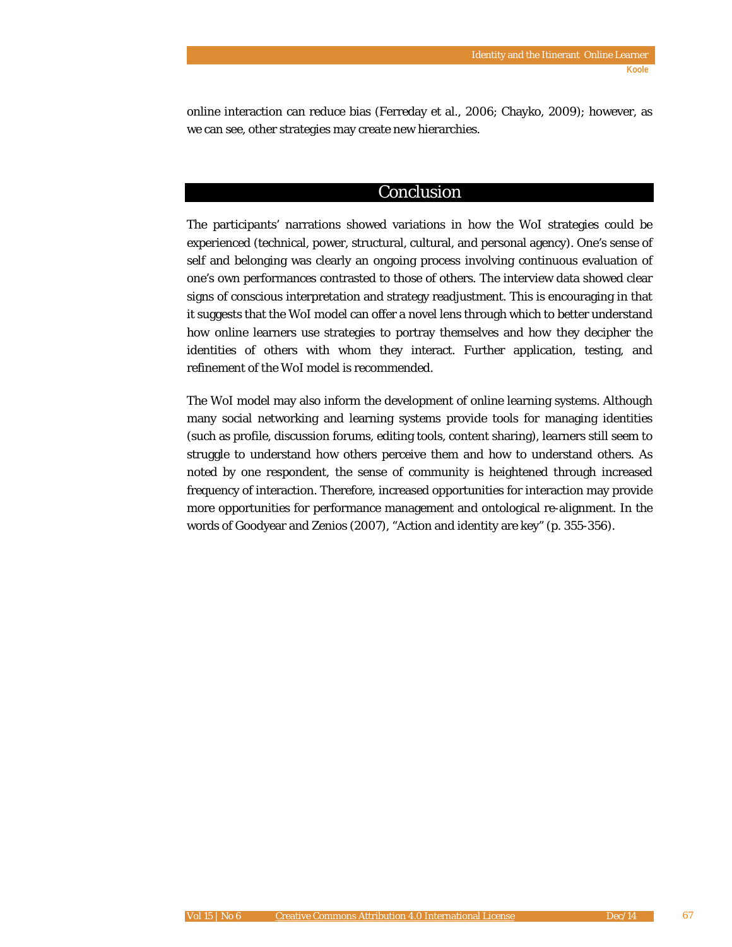online interaction can reduce bias (Ferreday et al., 2006; Chayko, 2009); however, as we can see, other strategies may create new hierarchies.

#### Conclusion

The participants' narrations showed variations in how the WoI strategies could be experienced (technical, power, structural, cultural, and personal agency). One's sense of self and belonging was clearly an ongoing process involving continuous evaluation of one's own performances contrasted to those of others. The interview data showed clear signs of conscious interpretation and strategy readjustment. This is encouraging in that it suggests that the WoI model can offer a novel lens through which to better understand *how* online learners use strategies to portray themselves and *how* they decipher the identities of others with whom they interact. Further application, testing, and refinement of the WoI model is recommended.

The WoI model may also inform the development of online learning systems. Although many social networking and learning systems provide tools for managing identities (such as profile, discussion forums, editing tools, content sharing), learners still seem to struggle to understand how others perceive them and how to understand others. As noted by one respondent, the sense of community is heightened through increased frequency of interaction. Therefore, increased opportunities for interaction may provide more opportunities for performance management and ontological re-alignment. In the words of Goodyear and Zenios (2007), "Action and identity are key" (p. 355-356).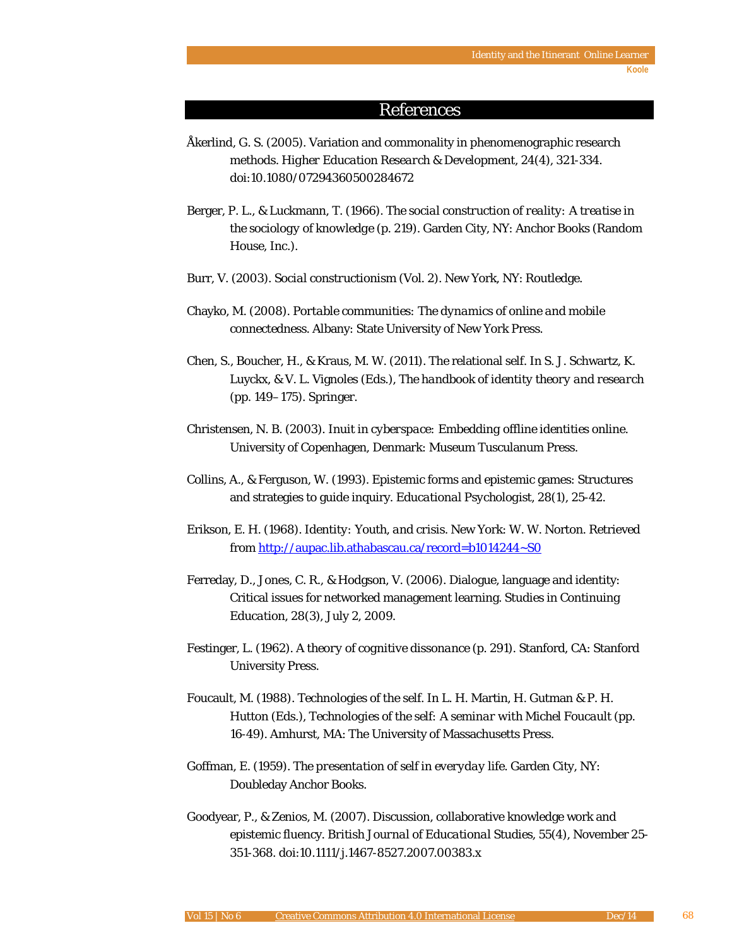#### References

- Åkerlind, G. S. (2005). Variation and commonality in phenomenographic research methods. *Higher Education Research & Development, 24*(4), 321-334. doi:10.1080/07294360500284672
- Berger, P. L., & Luckmann, T. (1966). *The social construction of reality: A treatise in the sociology of knowledge* (p. 219). Garden City, NY: Anchor Books (Random House, Inc.).
- Burr, V. (2003). *Social constructionism* (Vol. 2). New York, NY: Routledge.
- Chayko, M. (2008). *Portable communities: The dynamics of online and mobile connectedness*. Albany: State University of New York Press.
- Chen, S., Boucher, H., & Kraus, M. W. (2011). The relational self. In S. J. Schwartz, K. Luyckx, & V. L. Vignoles (Eds.), *The handbook of identity theory and research* (pp. 149–175). Springer.
- Christensen, N. B. (2003). *Inuit in cyberspace: Embedding offline identities online*. University of Copenhagen, Denmark: Museum Tusculanum Press.
- Collins, A., & Ferguson, W. (1993). Epistemic forms and epistemic games: Structures and strategies to guide inquiry. *Educational Psychologist, 28*(1), 25-42.
- Erikson, E. H. (1968). *Identity: Youth, and crisis*. New York: W. W. Norton. Retrieved from<http://aupac.lib.athabascau.ca/record=b1014244~S0>
- Ferreday, D., Jones, C. R., & Hodgson, V. (2006). Dialogue, language and identity: Critical issues for networked management learning. *Studies in Continuing Education, 28*(3), July 2, 2009.
- Festinger, L. (1962). *A theory of cognitive dissonance* (p. 291). Stanford, CA: Stanford University Press.
- Foucault, M. (1988). Technologies of the self. In L. H. Martin, H. Gutman & P. H. Hutton (Eds.), *Technologies of the self: A seminar with Michel Foucault* (pp. 16-49). Amhurst, MA: The University of Massachusetts Press.
- Goffman, E. (1959). *The presentation of self in everyday life*. Garden City, NY: Doubleday Anchor Books.
- Goodyear, P., & Zenios, M. (2007). Discussion, collaborative knowledge work and epistemic fluency. *British Journal of Educational Studies, 55*(4), November 25- 351-368. doi:10.1111/j.1467-8527.2007.00383.x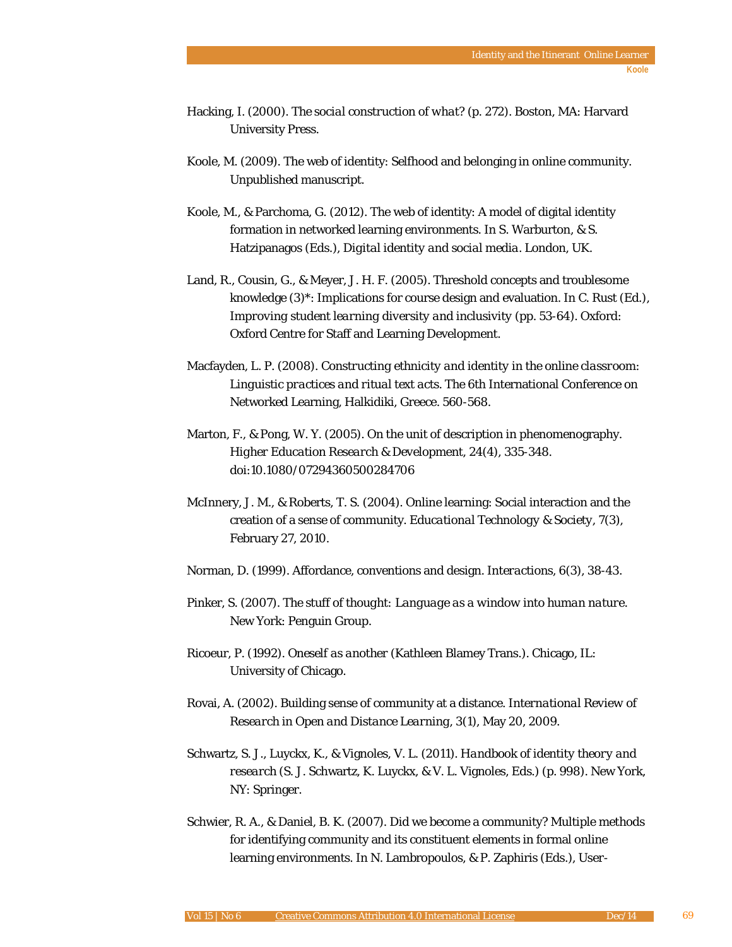- Hacking, I. (2000). *The social construction of what?* (p. 272). Boston, MA: Harvard University Press.
- Koole, M. (2009). The web of identity: Selfhood and belonging in online community. Unpublished manuscript.
- Koole, M., & Parchoma, G. (2012). The web of identity: A model of digital identity formation in networked learning environments. In S. Warburton, & S. Hatzipanagos (Eds.), *Digital identity and social media*. London, UK.
- Land, R., Cousin, G., & Meyer, J. H. F. (2005). Threshold concepts and troublesome knowledge (3)\*: Implications for course design and evaluation. In C. Rust (Ed.), *Improving student learning diversity and inclusivity* (pp. 53-64). Oxford: Oxford Centre for Staff and Learning Development.
- Macfayden, L. P. (2008). *Constructing ethnicity and identity in the online classroom: Linguistic practices and ritual text acts*. The 6th International Conference on Networked Learning, Halkidiki, Greece. 560-568.
- Marton, F., & Pong, W. Y. (2005). On the unit of description in phenomenography. *Higher Education Research & Development, 24*(4), 335-348. doi:10.1080/07294360500284706
- McInnery, J. M., & Roberts, T. S. (2004). Online learning: Social interaction and the creation of a sense of community. *Educational Technology & Society, 7*(3), February 27, 2010.
- Norman, D. (1999). Affordance, conventions and design. *Interactions, 6*(3), 38-43.
- Pinker, S. (2007). *The stuff of thought: Language as a window into human nature*. New York: Penguin Group.
- Ricoeur, P. (1992). *Oneself as another* (Kathleen Blamey Trans.). Chicago, IL: University of Chicago.
- Rovai, A. (2002). Building sense of community at a distance. *International Review of Research in Open and Distance Learning, 3*(1), May 20, 2009.
- Schwartz, S. J., Luyckx, K., & Vignoles, V. L. (2011). *Handbook of identity theory and research* (S. J. Schwartz, K. Luyckx, & V. L. Vignoles, Eds.) (p. 998). New York, NY: Springer.
- Schwier, R. A., & Daniel, B. K. (2007). Did we become a community? Multiple methods for identifying community and its constituent elements in formal online learning environments. In N. Lambropoulos, & P. Zaphiris (Eds.), *User-*